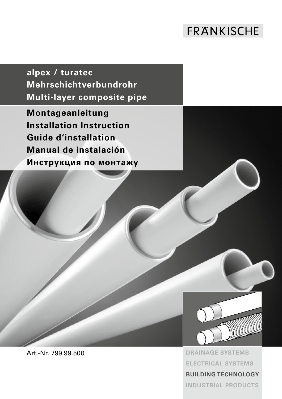# **FRANKISCHE**

**alpex / turatec Mehrschichtverbundrohr Multi-layer composite pipe**

**Montageanleitung Installation Instruction Guide d'installation Manual de instalación Инструкция по монтажу**



Art.-Nr. 799.99.500 **DRAINAGE SYSTEMS ELECTRICAL SYSTEMS BUILDING TECHNOLOGY** 

**INDUSTRIAL PRODUCTS**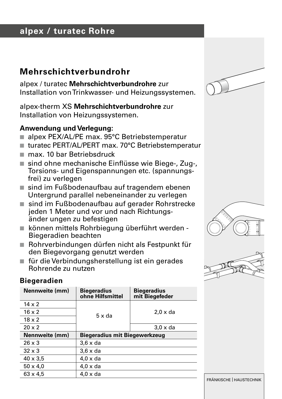# **alpex / turatec Rohre**

### **Mehrschichtverbundrohr**

alpex / turatec **Mehrschichtverbundrohre** zur Installation von Trinkwasser- und Heizungssystemen.

alpex-therm XS **Mehrschichtverbundrohre** zur Installation von Heizungssystemen.

#### **Anwendung und Verlegung:**

- alpex PEX/AL/PE max. 95°C Betriebstemperatur
- turatec PERT/AL/PERT max. 70°C Betriebstemperatur
- max. 10 bar Betriebsdruck
- sind ohne mechanische Einflüsse wie Biege-, Zug-, Torsions- und Eigenspannungen etc. (spannungsfrei) zu verlegen
- sind im Fußbodenaufbau auf tragendem ebenen Untergrund parallel nebeneinander zu verlegen
- sind im Fußbodenaufbau auf gerader Rohrstrecke jeden 1 Meter und vor und nach Richtungs änder ungen zu befestigen
- n können mittels Rohrbiegung überführt werden Biegeradien beachten
- Rohrverbindungen dürfen nicht als Festpunkt für den Biegevorgang genutzt werden
- für die Verbindungsherstellung ist ein gerades Rohrende zu nutzen







#### **Biegeradien**

| Nennweite (mm)  | <b>Biegeradius</b><br>ohne Hilfsmittel | <b>Biegeradius</b><br>mit Biegefeder |  |
|-----------------|----------------------------------------|--------------------------------------|--|
| $14 \times 2$   |                                        |                                      |  |
| $16 \times 2$   | $5 \times da$                          | $2.0 \times da$                      |  |
| $18 \times 2$   |                                        |                                      |  |
| $20 \times 2$   |                                        | $3.0 \times da$                      |  |
| Nennweite (mm)  | Biegeradius mit Biegewerkzeug          |                                      |  |
| $26 \times 3$   | $3.6 \times da$                        |                                      |  |
| $32 \times 3$   | $3.6 \times da$                        |                                      |  |
| $40 \times 3.5$ | $4.0 \times da$                        |                                      |  |
| $50 \times 4.0$ | $4.0 \times da$                        |                                      |  |
| $63 \times 4.5$ | $4.0 \times da$                        |                                      |  |

FRÄNKISCHE | HAUSTECHNIK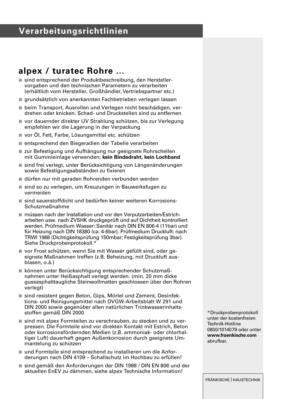# **Verarbeitungsrichtlinien**

### **alpex / turatec Rohre ...**

- sind entsprechend der Produktbeschreibung, den Herstellervorgaben und den technischen Parametern zu verarbeiten (erhältlich vom Hersteller, Großhändler, Vertriebspartner etc.)
- grundsätzlich von anerkannten Fachbetrieben verlegen lassen
- beim Transport, Ausrollen und Verlegen nicht beschädigen, verdrehen oder knicken. Schad- und Druckstellen sind zu entfernen
- n vor dauernder direkter UV Strahlung schützen, bis zur Verlegung empfehlen wir die Lagerung in der Verpackung
- vor Öl, Fett, Farbe, Lösungsmittel etc. schützen
- n entsprechend den Biegeradien der Tabelle verarbeiten
- n zur Befestigung und Aufhängung nur geeignete Rohrschellen mit Gummieinlage verwenden; **kein Bindedraht, kein Lochband**
- $\equiv$  sind frei verlegt, unter Berücksichtigung von Längenänderungen sowie Befestigungsabständen zu fixieren
- n dürfen nur mit geraden Rohrenden verbunden werden
- sind so zu verlegen, um Kreuzungen in Bauwerksfugen zu vermeiden
- $n$  sind sauerstoffdicht und bedürfen keiner weiteren Korrosions-Schutzmaßnahme
- müssen nach der Installation und vor den Verputzarbeiten/Estricharbeiten usw. nach ZVSHK druckgeprüft und auf Dichtheit kontrolliert werden. Prüfmedium Wasser: Sanitär nach DIN EN 806-4 (11bar) und für Heizung nach DIN 18380 (ca. 4-6bar). Prüfmedium Druckluft: nach TRWI 1988 (Dichtigkeitsprüfung 150mbar; Festigkeitsprüfung 3bar). Siehe Druckprobenprotokoll.\*
- vor Frost schützen, wenn Sie mit Wasser gefüllt sind, oder geeignete Maßnahmen treffen (z.B. Beheizung, mit Druckluft ausblasen, o.ä.)
- n können unter Berücksichtigung entsprechender Schutzmaßnahmen unter Heißasphalt verlegt werden. (min. 20 mm dicke gussasphalttaugliche Steinwollmatten geschlossen über den Rohren verlegt)
- sind resistent gegen Beton, Gips, Mörtel und Zement, Desinfektions- und Reinigungsmittel nach DVGW-Arbeitsblatt W 291 und DIN 2000 sowie gegenüber allen natürlichen Trinkwasserinhaltsstoffen gemäß DIN 2000
- sind mit alpex Formteilen zu verschrauben, zu stecken und zu verpressen. Die Formteile sind vor direkten Kontakt mit Estrich, Beton oder korrosionsfördernden Medien (z.B. ammoniak- oder chlorhaltiger Luft) dauerhaft gegen Außenkorrosion durch geeignete Ummantelung zu schützen
- und Formteile sind entsprechend zu installieren um die Anforderungen nach DIN 4109 – Schallschutz im Hochbau zu erfüllen!
- sind gemäß den Anforderungen der DIN 1988 / DIN EN 806 und der aktuellen EnEV zu dämmen, siehe alpex Technische Information!

\*Druckprobenprotokoll unter der kostenfreien Technik-Hotline 0800/1014079 oder unter **www.fraenkische.com**  abrufbar.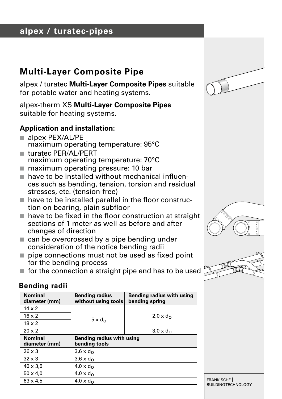# **alpex / turatec-pipes**

# **Multi-Layer Composite Pipe**

alpex / turatec **Multi-Layer Composite Pipes** suitable for potable water and heating systems.

alpex-therm XS **Multi-Layer Composite Pipes** suitable for heating systems.

### **Application and installation:**

- <sup>n</sup> alpex PEX/AL/PE maximum operating temperature: 95°C
- turatec PER/AL/PERT<br>maximum operating temperature: 70°C
- n maximum operating pressure: 10 bar
- $\blacksquare$  have to be installed without mechanical influences such as bending, tension, torsion and residual stresses, etc. (tension-free)
- $\blacksquare$  have to be installed parallel in the floor construction on bearing, plain subfloor
- $\blacksquare$  have to be fixed in the floor construction at straight sections of 1 meter as well as before and after changes of direction
- $\blacksquare$  can be overcrossed by a pipe bending under consideration of the notice bending radii
- $\blacksquare$  pipe connections must not be used as fixed point for the bending process
- $\blacksquare$  for the connection a straight pipe end has to be used

### **Bending radii**

| <b>Nominal</b><br>diameter (mm) | <b>Bending radius</b><br>without using tools | Bending radius with using<br>bending spring |
|---------------------------------|----------------------------------------------|---------------------------------------------|
| $14 \times 2$                   |                                              |                                             |
| $16 \times 2$                   | $5 \times d_{\Omega}$                        | $2.0 \times d_{\Omega}$                     |
| $18 \times 2$                   |                                              |                                             |
| $20 \times 2$                   |                                              | $3.0 \times d_{\Omega}$                     |
| Nominal<br>diameter (mm)        | Bending radius with using<br>bending tools   |                                             |
| $26 \times 3$                   | $3.6 \times d_{\Omega}$                      |                                             |
| $32 \times 3$                   | $3.6 \times d_{\Omega}$                      |                                             |
| $40 \times 3.5$                 | $4.0 \times d_{\Omega}$                      |                                             |
| $50 \times 4.0$                 | $4.0 \times d_{\Omega}$                      |                                             |
| $63 \times 4.5$                 | $4.0 \times d_{\Omega}$                      |                                             |







FRÄNKISCHE | BUILDING TECHNOLOGY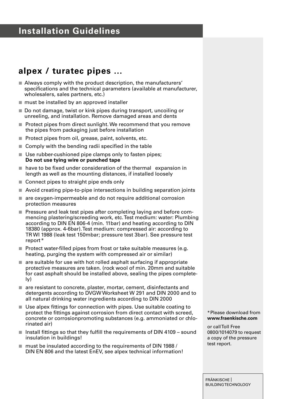# **Installation Guidelines**

### **alpex / turatec pipes ...**

- $\blacksquare$  Always comply with the product description, the manufacturers' specifications and the technical parameters (available at manufacturer, wholesalers, sales partners, etc.)
- $m$  must be installed by an approved installer
- Do not damage, twist or kink pipes during transport, uncoiling or unreeling, and installation. Remove damaged areas and dents
- $\blacksquare$  Protect pipes from direct sunlight. We recommend that you remove the pipes from packaging just before installation
- Protect pipes from oil, grease, paint, solvents, etc.
- $\blacksquare$  Comply with the bending radii specified in the table
- Use rubber-cushioned pipe clamps only to fasten pipes; **Do not use tying wire or punched tape**
- $n \neq 0$  have to be fixed under consideration of the thermal expansion in length as well as the mounting distances, if installed loosely
- Connect pipes to straight pipe ends only
- Avoid creating pipe-to-pipe intersections in building separation joints
- $\blacksquare$  are oxygen-impermeable and do not require additional corrosion protection measures
- $\blacksquare$  Pressure and leak test pipes after completing laying and before commencing plastering/screeding work, etc. Test medium: water: Plumbing according to DIN EN 806-4 (min. 11bar) and heating according to DIN 18380 (approx. 4-6bar). Test medium: compressed air: according to TR WI 1988 (leak test 150mbar; pressure test 3bar). See pressure test report\*
- $\blacksquare$  Protect water-filled pipes from frost or take suitable measures (e.g. heating, purging the system with compressed air or similar)
- $\blacksquare$  are suitable for use with hot rolled asphalt surfacing if appropriate protective measures are taken. (rock wool of min. 20mm and suitable for cast asphalt should be installed above, sealing the pipes completely)
- $a$  are resistant to concrete, plaster, mortar, cement, disinfectants and detergents according to DVGW Worksheet W 291 and DIN 2000 and to all natural drinking water ingredients according to DIN 2000
- Use alpex fittings for connection with pipes. Use suitable coating to protect the fittings against corrosion from direct contact with screed, concrete or corrosionpromoting substances (e.g. ammoniated or chlorinated air)
- $\blacksquare$  Install fittings so that they fulfill the requirements of DIN 4109 sound insulation in buildings!
- $m$  must be insulated according to the requirements of DIN 1988 / DIN EN 806 and the latest EnEV, see alpex technical information!

\*Please download from **www.fraenkische.com**

or call Toll Free 0800/1014079 to request a copy of the pressure test report.

FRÄNKISCHE | BUILDING TECHNOLOGY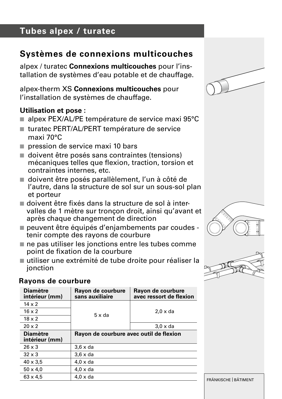# **Tubes alpex / turatec**

# **Systèmes de connexions multicouches**

alpex / turatec **Connexions multicouches** pour l'installation de systèmes d'eau potable et de chauffage.

alpex-therm XS **Connexions multicouches** pour l'installation de systèmes de chauffage.

### **Utilisation et pose :**

- alpex PEX/AL/PE température de service maxi 95°C
- turatec PERT/AL/PERT température de service maxi 70°C
- $n$  pression de service maxi 10 bars
- $\blacksquare$  doivent être posés sans contraintes (tensions) mécaniques telles que flexion, traction, torsion et contraintes internes, etc.
- doivent être posés parallèlement, l'un à côté de l'autre, dans la structure de sol sur un sous-sol plan et porteur
- $\blacksquare$  doivent être fixés dans la structure de sol à intervalles de 1 mètre sur tronçon droit, ainsi qu'avant et après chaque changement de direction
- peuvent être équipés d'enjambements par coudes tenir compte des rayons de courbure
- $\blacksquare$  ne pas utiliser les jonctions entre les tubes comme point de fixation de la courbure
- n utiliser une extrémité de tube droite pour réaliser la ionction

#### **Rayons de courbure**

| <b>Diamètre</b><br>intérieur (mm) | Rayon de courbure<br>sans auxiliaire    | Rayon de courbure<br>avec ressort de flexion |
|-----------------------------------|-----------------------------------------|----------------------------------------------|
| $14 \times 2$                     |                                         |                                              |
| $16 \times 2$                     | $5 \times da$                           | $2.0 \times da$                              |
| $18 \times 2$                     |                                         |                                              |
| $20 \times 2$                     |                                         | $3.0 \times da$                              |
| <b>Diamètre</b><br>intérieur (mm) | Rayon de courbure avec outil de flexion |                                              |
| $26 \times 3$                     | $3.6 \times da$                         |                                              |
| $32 \times 3$                     | $3.6 \times da$                         |                                              |
| $40 \times 3.5$                   | $4.0 \times da$                         |                                              |
| $50 \times 4.0$                   | $4.0 \times da$                         |                                              |
| $63 \times 4.5$                   | $4.0 \times da$                         |                                              |







FRÄNKISCHE | BÂTIMENT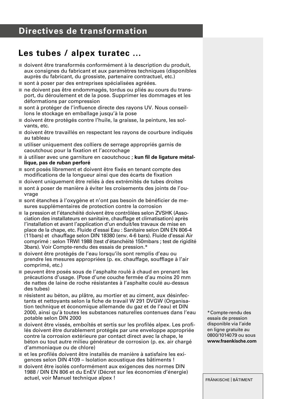# **Directives de transformation**

### **Les tubes / alpex turatec ...**

- $\blacksquare$  doivent être transformés conformément à la description du produit. aux consignes du fabricant et aux paramètres techniques (disponibles auprès du fabricant, du grossiste, partenaire contractuel, etc.)
- sont à poser par des entreprises spécialisées agréées.
- ne doivent pas être endommagés, tordus ou pliés au cours du transport, du déroulement et de la pose. Supprimer les dommages et les déformations par compression
- sont à protéger de l'influence directe des rayons UV. Nous conseillons le stockage en emballage jusqu'à la pose
- n doivent être protégés contre l'huile, la graisse, la peinture, les solvants, etc.
- n doivent être travaillés en respectant les rayons de courbure indiqués au tableau
- n utiliser uniquement des colliers de serrage appropriés garnis de caoutchouc pour la fixation et l'accrochage
- à utiliser avec une garniture en caoutchouc ; kun fil de ligature métal**lique, pas de ruban perforé**
- sont posés librement et doivent être fixés en tenant compte des modifications de la longueur ainsi que des écarts de fixation
- n doivent uniquement être reliés à des extrémités de tubes droites
- sont à poser de manière à éviter les croisements des joints de l'ouvrage
- n sont étanches à l'oxygène et n'ont pas besoin de bénéficier de mesures supplémentaires de protection contre la corrosion
- la pression et l'étanchéité doivent être contrôlées selon ZVSHK (Association des installateurs en sanitaire, chauffage et climatisation) après l'installation et avant l'application d'un enduit/les travaux de mise en place de la chape, etc. Fluide d'essai Eau : Sanitaire selon DIN EN 806-4 (11bars) et chauffage selon DIN 18380 (env. 4-6 bars). Fluide d'essai Air comprimé : selon TRWI 1988 (test d'étanchéité 150mbars ; test de rigidité 3bars). Voir Compte-rendu des essais de pression.\*
- n doivent être protégés de l'eau lorsqu'ils sont remplis d'eau ou prendre les mesures appropriées (p. ex. chauffage, soufflage à l'air comprimé, etc.)
- n peuvent être posés sous de l'asphalte roulé à chaud en prenant les précautions d'usage. (Pose d'une couche fermée d'au moins 20 mm de nattes de laine de roche résistantes à l'asphalte coulé au-dessus des tubes)
- n résistent au béton, au plâtre, au mortier et au ciment, aux désinfectants et nettoyants selon la fiche de travail W 291 DVGW (Organisation technique et économique allemande du gaz et de l'eau) et DIN 2000, ainsi qu'à toutes les substances naturelles contenues dans l'eau potable selon DIN 2000
- n doivent être vissés, emboîtés et sertis sur les profilés alpex. Les profilés doivent être durablement protégés par une enveloppe appropriée contre la corrosion extérieure par contact direct avec la chape, le béton ou tout autre milieu générateur de corrosion (p. ex. air chargé d'ammoniaque ou de chlore)
- n et les profilés doivent être installés de manière à satisfaire les exigences selon DIN 4109 – Isolation acoustique des bâtiments !
- n doivent être isolés conformément aux exigences des normes DIN 1988 / DIN EN 806 et du EnEV (Décret sur les économies d'énergie) actuel, voir Manuel technique alpex !

\*Compte-rendu des essais de pression disponible via l'aide en ligne gratuite au 0800/1014079 ou sous **www.fraenkische.com**

FRÄNKISCHE | BÂTIMENT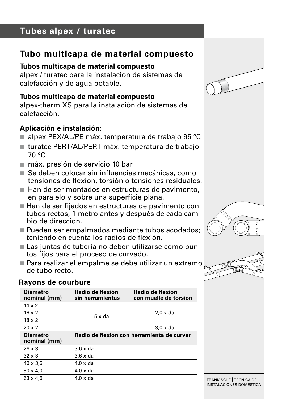# **Tubes alpex / turatec**

### **Tubo multicapa de material compuesto**

#### **Tubos multicapa de material compuesto**

alpex / turatec para la instalación de sistemas de calefacción y de agua potable.

#### **Tubos multicapa de material compuesto**

alpex-therm XS para la instalación de sistemas de calefacción.

### **Aplicación e instalación:**

- alpex PEX/AL/PE máx. temperatura de trabajo 95 °C
- turatec PERT/AL/PERT máx. temperatura de trabajo 70 °C
- máx. presión de servicio 10 bar
- $\blacksquare$  Se deben colocar sin influencias mecánicas, como tensiones de flexión, torsión o tensiones residuales.
- Han de ser montados en estructuras de pavimento, en paralelo y sobre una superficie plana.
- Han de ser fijados en estructuras de pavimento con tubos rectos, 1 metro antes y después de cada cambio de dirección.
- Pueden ser empalmados mediante tubos acodados: teniendo en cuenta los radios de flexión.
- Las juntas de tubería no deben utilizarse como puntos fijos para el proceso de curvado.
- Para realizar el empalme se debe utilizar un extremo de tubo recto.



#### **Rayons de courbure**







FRÄNKISCHE | TÉCNICA DE INSTALACIONES DOMÉSTICA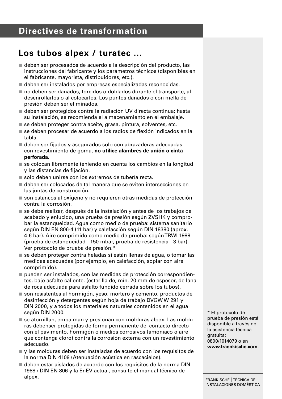# **Los tubos alpex / turatec ...**

- $\blacksquare$  deben ser procesados de acuerdo a la descripción del producto, las instrucciones del fabricante y los parámetros técnicos (disponibles en el fabricante, mayorista, distribuidores, etc.).
- n deben ser instalados por empresas especializadas reconocidas.
- no deben ser dañados, torcidos o doblados durante el transporte, al desenrollarlos o al colocarlos. Los puntos dañados o con mella de presión deben ser eliminados.
- deben ser protegidos contra la radiación UV directa continua; hasta su instalación, se recomienda el almacenamiento en el embalaje.
- $\blacksquare$  se deben proteger contra aceite, grasa, pintura, solventes, etc.
- se deben procesar de acuerdo a los radios de flexión indicados en la tabla.
- $\blacksquare$  deben ser fijados y asegurados solo con abrazaderas adecuadas con revestimiento de goma, **no utilice alambres de unión o cinta perforada.**
- se colocan libremente teniendo en cuenta los cambios en la longitud y las distancias de fijación.
- solo deben unirse con los extremos de tubería recta.
- n deben ser colocados de tal manera que se eviten intersecciones en las juntas de construcción.
- $n$ son estancos al oxígeno y no requieren otras medidas de protección contra la corrosión.
- $\blacksquare$  se debe realizar, después de la instalación y antes de los trabajos de acabado y enlucido, una prueba de presión según ZVSHK y comprobar la estanqueidad. Agua como medio de prueba: sistema sanitario según DIN EN 806-4 (11 bar) y calefacción según DIN 18380 (aprox. 4-6 bar). Aire comprimido como medio de prueba: según TRWI 1988 (prueba de estanqueidad - 150 mbar, prueba de resistencia - 3 bar). Ver protocolo de prueba de presión.\*
- se deben proteger contra heladas si están llenas de agua, o tomar las medidas adecuadas (por ejemplo, en calefacción, soplar con aire comprimido).
- $p$  pueden ser instalados, con las medidas de protección correspondientes, bajo asfalto caliente. (esterilla de, mín. 20 mm de espesor, de lana de roca adecuada para asfalto fundido cerrada sobre los tubos).
- son resistentes al hormigón, yeso, mortero y cemento, productos de desinfección y detergentes según hoja de trabajo DVGW W 291 y DIN 2000, y a todos los materiales naturales contenidos en el agua según DIN 2000.
- $\blacksquare$  se atornillan, empalman y presionan con molduras alpex. Las molduras debenser protegidas de forma permanente del contacto directo con el pavimento, hormigón o medios corrosivos (amoniaco o aire que contenga cloro) contra la corrosión externa con un revestimiento adecuado.
- $\blacksquare$  y las molduras deben ser instaladas de acuerdo con los requisitos de la norma DIN 4109 (Atenuación acústica en rascacielos).
- deben estar aislados de acuerdo con los requisitos de la norma DIN 1988 / DIN EN 806 y la EnEV actual, consulte el manual técnico de alpex.

\* El protocolo de prueba de presión está disponible a través de la asistencia técnica gratuita: 0800/1014079 o en **www.fraenkische.com**.

FRÄNKISCHE | TÉCNICA DE INSTALACIONES DOMÉSTICA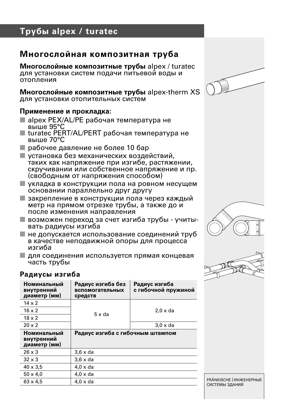# **Трубы alpex / turatec**

### **Многослойная композитная труба**

**Многослойные композитные трубы** alpex / turatec для установки систем подачи питьевой воды и отопления

**Многослойные композитные трубы** alpex-therm XS для установки отопительных систем

#### **Применение и прокладка:**

- n alpex PEX/AL/PE рабочая температура не выше 95°C
- $\blacksquare$  turatec PERT/AL/PERT рабочая температура не выше 70°C
- n рабочее давление не более 10 бар
- **и установка без механических воздействий,** таких как напряжение при изгибе, растяжении, скручивании или собственное напряжение и пр. (свободным от напряжения способом)
- **и укладка в конструкции пола на ровном несущем** основании параллельно друг другу
- **и закрепление в конструкции пола через каждый** метр на прямом отрезке трубы, а также до и после изменения направления
- <sup>n</sup> возможен переход за счет изгиба трубы учиты- вать радиусы изгиба
- n не допускается использование соединений труб в качестве неподвижной опоры для процесса изгиба
- n для соединения используется прямая концевая часть трубы







#### **Радиусы изгиба**

| Номинальный<br>внутренний<br>диаметр (мм) | Радиус изгиба без<br>вспомогательных<br>средств | Радиус изгиба<br>с гибочной пружиной |
|-------------------------------------------|-------------------------------------------------|--------------------------------------|
| $14 \times 2$                             |                                                 |                                      |
| $16 \times 2$                             | $5 \times da$                                   | $2.0 \times da$                      |
| $18 \times 2$                             |                                                 |                                      |
| $20 \times 2$                             |                                                 | $3.0 \times da$                      |
| Номинальный<br>внутренний<br>диаметр (мм) | Радиус изгиба с гибочным штампом                |                                      |
| $26 \times 3$                             | $3.6 \times da$                                 |                                      |
| $32 \times 3$                             | $3.6 \times da$                                 |                                      |
| $40 \times 3.5$                           | $4.0 \times da$                                 |                                      |
| $50 \times 4.0$                           | $4.0 \times da$                                 |                                      |
| $63 \times 4.5$                           | $4.0 \times da$                                 |                                      |

FRÄNKISCHE | ИНЖЕНЕРНЫЕ СИСТЕМЫ ЗДАНИЙ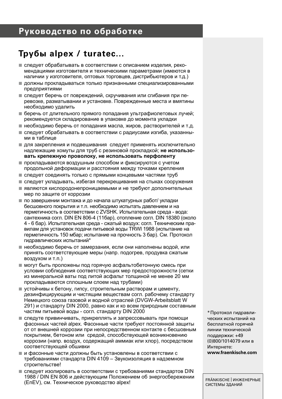### **Руководство по обработке**

### **Трубы alpex / turatec...**

- n следует обрабатывать в соответствии с описанием изделия, рекомендациями изготовителя и техническими параметрами (имеются в наличии у изготовителя, оптовых торговцев, дистрибьютеров и т.д.)
- n должны прокладываться только признанными специализированными предприятиями
- n следует беречь от повреждений, скручивания или сгибания при перевозке, разматывании и установке. Поврежденные места и вмятины необходимо удалить
- n беречь от длительного прямого попадания ультрафиолетовых лучей; рекомендуется складирование в упаковке до момента укладки
- n необходимо беречь от попадания масла, жиров, растворителей и т.д.
- n следует обрабатывать в соответствии с радиусами изгиба, указанными в таблице
- n для закрепления и подвешивания следует применять исключительно надлежащие хомуты для труб с резиновой прокладкой; **не использовать крепежную проволоку, не использовать перфоленту**
- $\blacksquare$  прокладываются воздушным способом и фиксируются с учетом продольной деформации и расстояния между точками крепления
- n следует соединять только с прямыми концевыми частями труб
- n следует укладывать, избегая перекрещивания на стыках сооружения
- n являются кислородонепроницаемыми и не требуют дополнительных мер по защите от коррозии
- $\blacksquare$  по завершении монтажа и до начала штукатурных работ/ укладки бесшовного покрытия и т.п. необходимо испытать давлением и на герметичность в соответствии с ZVSHK. Испытательная среда - вода: сантехника согл. DIN EN 806-4 (11бар), отопление согл. DIN 18380 (около 4 - 6 бар). Испытательная среда - сжатый воздух: согл. Техническим правилам для установок подачи питьевой воды TRWI 1988 (испытание на герметичность 150 мбар; испытание на прочность 3 бар). См. Протокол гидравлических испытаний\*
- n необходимо беречь от замерзания, если они наполнены водой, или принять соответствующие меры (напр. подогрев, продувка сжатым воздухом и т.п.)
- n могут быть проложены под горячую асфальтобетонную смесь при условии соблюдения соответствующих мер предосторожности (сетки из минеральной ваты под литой асфальт толщиной не менее 20 мм прокладываются сплошным слоем над трубами)
- n устойчивы к бетону, гипсу, строительным растворам и цементу, дезинфицирующим и чистящим веществам согл. рабочему стандарту Немецкого союза газовой и водной отраслей (DVGW-Arbeitsblatt W 291) и стандарту DIN 2000, равно как и ко всем природным составным частям питьевой воды - согл. стандарту DIN 2000
- n следуте привинчивать, прикреплять и запрессовывать при помощи фасонных частей alpex. Фасонные части требуют постоянной защиты от от внешней коррозии при непосредственном контакте с бесшовным покрытием, бетоном или средой, способствующей возникновению коррозии (напр. воздух, содержащий аммиак или хлор), посредством соответствующей обшивки
- n и фасонные части должны быть установлены в соответствии с требованиями стандарта DIN 4109 – Звукоизоляция в надземном строительстве!
- $n =$  следует изолировать в соответствии с требованиями стандартов DIN 1988 / DIN EN 806 и действующим Положением об энергосбережении (EnEV), см. Техническое руководство alpex!

\*Протокол гидравлических испытаний на бесплатной горячей линии технической поддержки: +49 (0)800/1014079 или в Интернете: **www.fraenkische.com**

FRÄNKISCHE | ИНЖЕНЕРНЫЕ СИСТЕМЫ ЗДАНИЙ